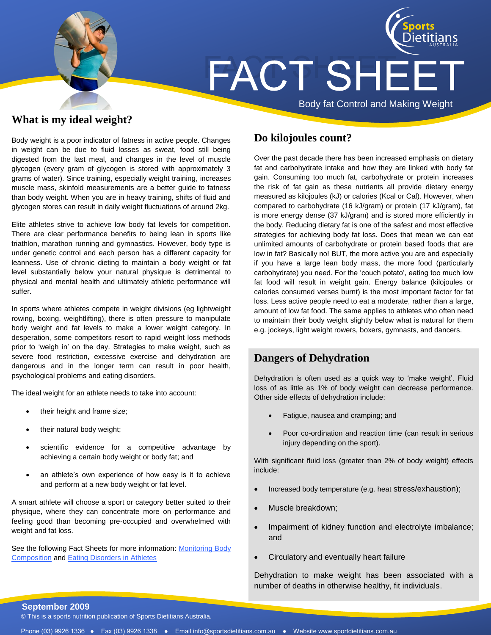

### **What is my ideal weight?**

Body weight is a poor indicator of fatness in active people. Changes in weight can be due to fluid losses as sweat, food still being digested from the last meal, and changes in the level of muscle glycogen (every gram of glycogen is stored with approximately 3 grams of water). Since training, especially weight training, increases muscle mass, skinfold measurements are a better guide to fatness than body weight. When you are in heavy training, shifts of fluid and glycogen stores can result in daily weight fluctuations of around 2kg.

Elite athletes strive to achieve low body fat levels for competition. There are clear performance benefits to being lean in sports like triathlon, marathon running and gymnastics. However, body type is under genetic control and each person has a different capacity for leanness. Use of chronic dieting to maintain a body weight or fat level substantially below your natural physique is detrimental to physical and mental health and ultimately athletic performance will suffer.

In sports where athletes compete in weight divisions (eg lightweight rowing, boxing, weightlifting), there is often pressure to manipulate body weight and fat levels to make a lower weight category. In desperation, some competitors resort to rapid weight loss methods prior to 'weigh in' on the day. Strategies to make weight, such as severe food restriction, excessive exercise and dehydration are dangerous and in the longer term can result in poor health, psychological problems and eating disorders.

The ideal weight for an athlete needs to take into account:

- their height and frame size;
- their natural body weight;
- scientific evidence for a competitive advantage by achieving a certain body weight or body fat; and
- an athlete's own experience of how easy is it to achieve and perform at a new body weight or fat level.

A smart athlete will choose a sport or category better suited to their physique, where they can concentrate more on performance and feeling good than becoming pre-occupied and overwhelmed with weight and fat loss.

See the following Fact Sheets for more information: [Monitoring Body](http://www.sportsdietitians.com.au/resources/upload/Anthro_fact_sheet_21.pdf)  [Composition](http://www.sportsdietitians.com.au/resources/upload/Anthro_fact_sheet_21.pdf) an[d Eating Disorders in Athletes](http://www.sportsdietitians.com.au/resources/upload/Eating_disorder_in_athletes.pdf)

# **Do kilojoules count?**

Over the past decade there has been increased emphasis on dietary fat and carbohydrate intake and how they are linked with body fat gain. Consuming too much fat, carbohydrate or protein increases the risk of fat gain as these nutrients all provide dietary energy measured as kilojoules (kJ) or calories (Kcal or Cal). However, when compared to carbohydrate (16 kJ/gram) or protein (17 kJ/gram), fat is more energy dense (37 kJ/gram) and is stored more efficiently in the body. Reducing dietary fat is one of the safest and most effective strategies for achieving body fat loss. Does that mean we can eat unlimited amounts of carbohydrate or protein based foods that are low in fat? Basically no! BUT, the more active you are and especially if you have a large lean body mass, the more food (particularly carbohydrate) you need. For the 'couch potato', eating too much low fat food will result in weight gain. Energy balance (kilojoules or calories consumed verses burnt) is the most important factor for fat loss. Less active people need to eat a moderate, rather than a large, amount of low fat food. The same applies to athletes who often need to maintain their body weight slightly below what is natural for them e.g. jockeys, light weight rowers, boxers, gymnasts, and dancers.

### **Dangers of Dehydration**

Dehydration is often used as a quick way to 'make weight'. Fluid loss of as little as 1% of body weight can decrease performance. Other side effects of dehydration include:

- Fatigue, nausea and cramping; and
- Poor co-ordination and reaction time (can result in serious injury depending on the sport).

With significant fluid loss (greater than 2% of body weight) effects include:

- Increased body temperature (e.g. heat stress/exhaustion);
- Muscle breakdown;
- Impairment of kidney function and electrolyte imbalance; and
- Circulatory and eventually heart failure

Dehydration to make weight has been associated with a number of deaths in otherwise healthy, fit individuals.

#### **September 2009**

© This is a sports nutrition publication of Sports Dietitians Australia.

Phone (03) 9926 1336 ● Fax (03) 9926 1338 ● Email info@sportsdietitians.com.au ● Website www.sportdietitians.com.au